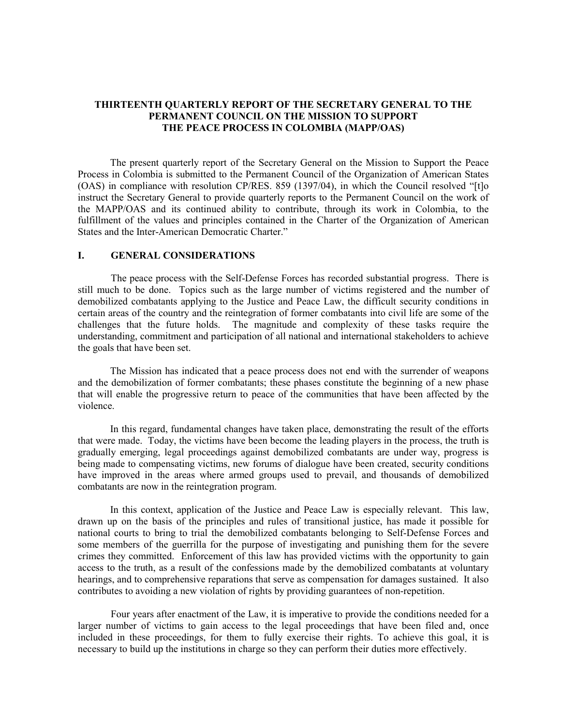# **THIRTEENTH QUARTERLY REPORT OF THE SECRETARY GENERAL TO THE PERMANENT COUNCIL ON THE MISSION TO SUPPORT THE PEACE PROCESS IN COLOMBIA (MAPP/OAS)**

The present quarterly report of the Secretary General on the Mission to Support the Peace Process in Colombia is submitted to the Permanent Council of the Organization of American States (OAS) in compliance with resolution CP/RES. 859 (1397/04), in which the Council resolved "[t]o instruct the Secretary General to provide quarterly reports to the Permanent Council on the work of the MAPP/OAS and its continued ability to contribute, through its work in Colombia, to the fulfillment of the values and principles contained in the Charter of the Organization of American States and the Inter-American Democratic Charter."

## **I. GENERAL CONSIDERATIONS**

 The peace process with the Self-Defense Forces has recorded substantial progress. There is still much to be done. Topics such as the large number of victims registered and the number of demobilized combatants applying to the Justice and Peace Law, the difficult security conditions in certain areas of the country and the reintegration of former combatants into civil life are some of the challenges that the future holds. The magnitude and complexity of these tasks require the understanding, commitment and participation of all national and international stakeholders to achieve the goals that have been set.

The Mission has indicated that a peace process does not end with the surrender of weapons and the demobilization of former combatants; these phases constitute the beginning of a new phase that will enable the progressive return to peace of the communities that have been affected by the violence.

In this regard, fundamental changes have taken place, demonstrating the result of the efforts that were made. Today, the victims have been become the leading players in the process, the truth is gradually emerging, legal proceedings against demobilized combatants are under way, progress is being made to compensating victims, new forums of dialogue have been created, security conditions have improved in the areas where armed groups used to prevail, and thousands of demobilized combatants are now in the reintegration program.

In this context, application of the Justice and Peace Law is especially relevant. This law, drawn up on the basis of the principles and rules of transitional justice, has made it possible for national courts to bring to trial the demobilized combatants belonging to Self-Defense Forces and some members of the guerrilla for the purpose of investigating and punishing them for the severe crimes they committed. Enforcement of this law has provided victims with the opportunity to gain access to the truth, as a result of the confessions made by the demobilized combatants at voluntary hearings, and to comprehensive reparations that serve as compensation for damages sustained. It also contributes to avoiding a new violation of rights by providing guarantees of non-repetition.

 Four years after enactment of the Law, it is imperative to provide the conditions needed for a larger number of victims to gain access to the legal proceedings that have been filed and, once included in these proceedings, for them to fully exercise their rights. To achieve this goal, it is necessary to build up the institutions in charge so they can perform their duties more effectively.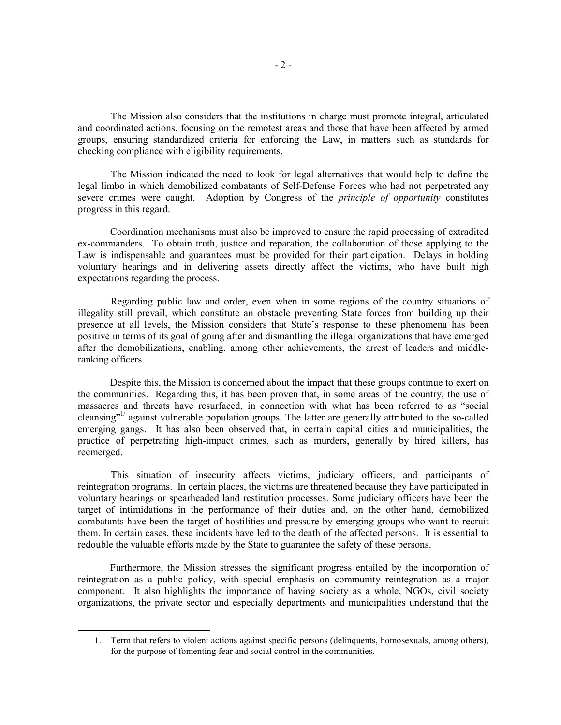The Mission also considers that the institutions in charge must promote integral, articulated and coordinated actions, focusing on the remotest areas and those that have been affected by armed groups, ensuring standardized criteria for enforcing the Law, in matters such as standards for checking compliance with eligibility requirements.

The Mission indicated the need to look for legal alternatives that would help to define the legal limbo in which demobilized combatants of Self-Defense Forces who had not perpetrated any severe crimes were caught. Adoption by Congress of the *principle of opportunity* constitutes progress in this regard.

Coordination mechanisms must also be improved to ensure the rapid processing of extradited ex-commanders. To obtain truth, justice and reparation, the collaboration of those applying to the Law is indispensable and guarantees must be provided for their participation. Delays in holding voluntary hearings and in delivering assets directly affect the victims, who have built high expectations regarding the process.

 Regarding public law and order, even when in some regions of the country situations of illegality still prevail, which constitute an obstacle preventing State forces from building up their presence at all levels, the Mission considers that State's response to these phenomena has been positive in terms of its goal of going after and dismantling the illegal organizations that have emerged after the demobilizations, enabling, among other achievements, the arrest of leaders and middleranking officers.

Despite this, the Mission is concerned about the impact that these groups continue to exert on the communities. Regarding this, it has been proven that, in some areas of the country, the use of massacres and threats have resurfaced, in connection with what has been referred to as "social cleansing"<sup>1</sup> against vulnerable population groups. The latter are generally attributed to the so-called emerging gangs. It has also been observed that, in certain capital cities and municipalities, the practice of perpetrating high-impact crimes, such as murders, generally by hired killers, has reemerged.

 This situation of insecurity affects victims, judiciary officers, and participants of reintegration programs. In certain places, the victims are threatened because they have participated in voluntary hearings or spearheaded land restitution processes. Some judiciary officers have been the target of intimidations in the performance of their duties and, on the other hand, demobilized combatants have been the target of hostilities and pressure by emerging groups who want to recruit them. In certain cases, these incidents have led to the death of the affected persons. It is essential to redouble the valuable efforts made by the State to guarantee the safety of these persons.

Furthermore, the Mission stresses the significant progress entailed by the incorporation of reintegration as a public policy, with special emphasis on community reintegration as a major component. It also highlights the importance of having society as a whole, NGOs, civil society organizations, the private sector and especially departments and municipalities understand that the

<sup>1.</sup> Term that refers to violent actions against specific persons (delinquents, homosexuals, among others), for the purpose of fomenting fear and social control in the communities.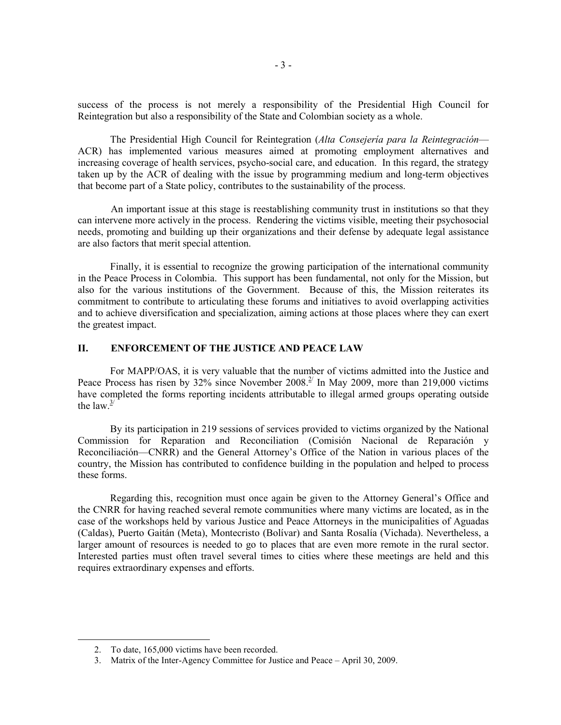success of the process is not merely a responsibility of the Presidential High Council for Reintegration but also a responsibility of the State and Colombian society as a whole.

The Presidential High Council for Reintegration (*Alta Consejería para la Reintegración*— ACR) has implemented various measures aimed at promoting employment alternatives and increasing coverage of health services, psycho-social care, and education. In this regard, the strategy taken up by the ACR of dealing with the issue by programming medium and long-term objectives that become part of a State policy, contributes to the sustainability of the process.

 An important issue at this stage is reestablishing community trust in institutions so that they can intervene more actively in the process. Rendering the victims visible, meeting their psychosocial needs, promoting and building up their organizations and their defense by adequate legal assistance are also factors that merit special attention.

Finally, it is essential to recognize the growing participation of the international community in the Peace Process in Colombia. This support has been fundamental, not only for the Mission, but also for the various institutions of the Government. Because of this, the Mission reiterates its commitment to contribute to articulating these forums and initiatives to avoid overlapping activities and to achieve diversification and specialization, aiming actions at those places where they can exert the greatest impact.

# **II. ENFORCEMENT OF THE JUSTICE AND PEACE LAW**

For MAPP/OAS, it is very valuable that the number of victims admitted into the Justice and Peace Process has risen by 32% since November 2008.<sup>2/</sup> In May 2009, more than 219,000 victims have completed the forms reporting incidents attributable to illegal armed groups operating outside the law  $\frac{3}{2}$ 

By its participation in 219 sessions of services provided to victims organized by the National Commission for Reparation and Reconciliation (Comisión Nacional de Reparación y Reconciliación—CNRR) and the General Attorney's Office of the Nation in various places of the country, the Mission has contributed to confidence building in the population and helped to process these forms.

Regarding this, recognition must once again be given to the Attorney General's Office and the CNRR for having reached several remote communities where many victims are located, as in the case of the workshops held by various Justice and Peace Attorneys in the municipalities of Aguadas (Caldas), Puerto Gaitán (Meta), Montecristo (Bolívar) and Santa Rosalía (Vichada). Nevertheless, a larger amount of resources is needed to go to places that are even more remote in the rural sector. Interested parties must often travel several times to cities where these meetings are held and this requires extraordinary expenses and efforts.

<sup>2.</sup> To date, 165,000 victims have been recorded.

<sup>3.</sup> Matrix of the Inter-Agency Committee for Justice and Peace – April 30, 2009.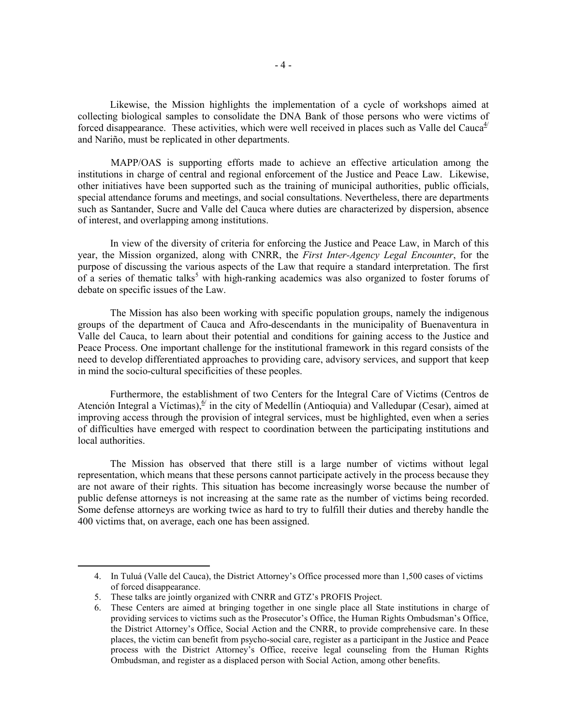Likewise, the Mission highlights the implementation of a cycle of workshops aimed at collecting biological samples to consolidate the DNA Bank of those persons who were victims of forced disappearance. These activities, which were well received in places such as Valle del Cauca $4/$ and Nariño, must be replicated in other departments.

 MAPP/OAS is supporting efforts made to achieve an effective articulation among the institutions in charge of central and regional enforcement of the Justice and Peace Law. Likewise, other initiatives have been supported such as the training of municipal authorities, public officials, special attendance forums and meetings, and social consultations. Nevertheless, there are departments such as Santander, Sucre and Valle del Cauca where duties are characterized by dispersion, absence of interest, and overlapping among institutions.

In view of the diversity of criteria for enforcing the Justice and Peace Law, in March of this year, the Mission organized, along with CNRR, the *First Inter-Agency Legal Encounter*, for the purpose of discussing the various aspects of the Law that require a standard interpretation. The first of a series of thematic talks<sup>5</sup> with high-ranking academics was also organized to foster forums of debate on specific issues of the Law.

The Mission has also been working with specific population groups, namely the indigenous groups of the department of Cauca and Afro-descendants in the municipality of Buenaventura in Valle del Cauca, to learn about their potential and conditions for gaining access to the Justice and Peace Process. One important challenge for the institutional framework in this regard consists of the need to develop differentiated approaches to providing care, advisory services, and support that keep in mind the socio-cultural specificities of these peoples.

Furthermore, the establishment of two Centers for the Integral Care of Victims (Centros de Atención Integral a Víctimas),  $\frac{6}{7}$  in the city of Medellín (Antioquia) and Valledupar (Cesar), aimed at improving access through the provision of integral services, must be highlighted, even when a series of difficulties have emerged with respect to coordination between the participating institutions and local authorities.

The Mission has observed that there still is a large number of victims without legal representation, which means that these persons cannot participate actively in the process because they are not aware of their rights. This situation has become increasingly worse because the number of public defense attorneys is not increasing at the same rate as the number of victims being recorded. Some defense attorneys are working twice as hard to try to fulfill their duties and thereby handle the 400 victims that, on average, each one has been assigned.

<sup>4.</sup> In Tuluá (Valle del Cauca), the District Attorney's Office processed more than 1,500 cases of victims of forced disappearance.

<sup>5.</sup> These talks are jointly organized with CNRR and GTZ's PROFIS Project.

<sup>6.</sup> These Centers are aimed at bringing together in one single place all State institutions in charge of providing services to victims such as the Prosecutor's Office, the Human Rights Ombudsman's Office, the District Attorney's Office, Social Action and the CNRR, to provide comprehensive care. In these places, the victim can benefit from psycho-social care, register as a participant in the Justice and Peace process with the District Attorney's Office, receive legal counseling from the Human Rights Ombudsman, and register as a displaced person with Social Action, among other benefits.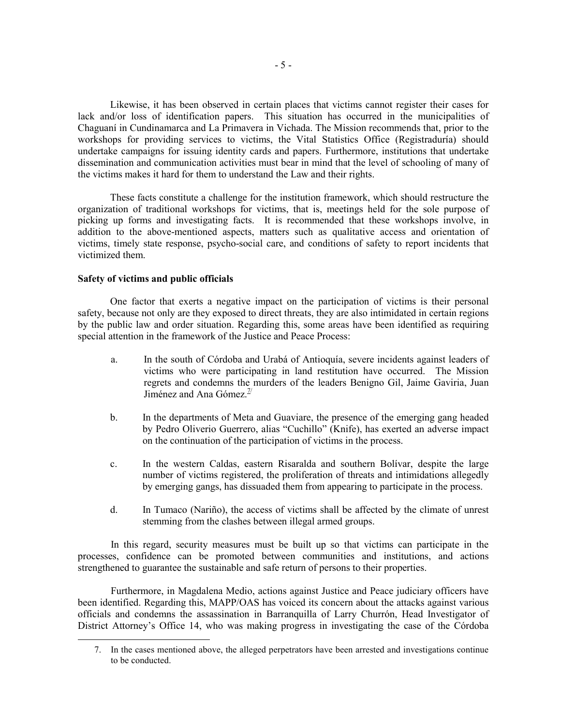Likewise, it has been observed in certain places that victims cannot register their cases for lack and/or loss of identification papers. This situation has occurred in the municipalities of Chaguaní in Cundinamarca and La Primavera in Vichada. The Mission recommends that, prior to the workshops for providing services to victims, the Vital Statistics Office (Registraduría) should undertake campaigns for issuing identity cards and papers. Furthermore, institutions that undertake dissemination and communication activities must bear in mind that the level of schooling of many of the victims makes it hard for them to understand the Law and their rights.

These facts constitute a challenge for the institution framework, which should restructure the organization of traditional workshops for victims, that is, meetings held for the sole purpose of picking up forms and investigating facts. It is recommended that these workshops involve, in addition to the above-mentioned aspects, matters such as qualitative access and orientation of victims, timely state response, psycho-social care, and conditions of safety to report incidents that victimized them.

#### **Safety of victims and public officials**

 $\overline{a}$ 

One factor that exerts a negative impact on the participation of victims is their personal safety, because not only are they exposed to direct threats, they are also intimidated in certain regions by the public law and order situation. Regarding this, some areas have been identified as requiring special attention in the framework of the Justice and Peace Process:

- a. In the south of Córdoba and Urabá of Antioquía, severe incidents against leaders of victims who were participating in land restitution have occurred. The Mission regrets and condemns the murders of the leaders Benigno Gil, Jaime Gaviria, Juan Jiménez and Ana Gómez. $\frac{7}{4}$
- b. In the departments of Meta and Guaviare, the presence of the emerging gang headed by Pedro Oliverio Guerrero, alias "Cuchillo" (Knife), has exerted an adverse impact on the continuation of the participation of victims in the process.
- c. In the western Caldas, eastern Risaralda and southern Bolívar, despite the large number of victims registered, the proliferation of threats and intimidations allegedly by emerging gangs, has dissuaded them from appearing to participate in the process.
- d. In Tumaco (Nariño), the access of victims shall be affected by the climate of unrest stemming from the clashes between illegal armed groups.

 In this regard, security measures must be built up so that victims can participate in the processes, confidence can be promoted between communities and institutions, and actions strengthened to guarantee the sustainable and safe return of persons to their properties.

 Furthermore, in Magdalena Medio, actions against Justice and Peace judiciary officers have been identified. Regarding this, MAPP/OAS has voiced its concern about the attacks against various officials and condemns the assassination in Barranquilla of Larry Churrón, Head Investigator of District Attorney's Office 14, who was making progress in investigating the case of the Córdoba

<sup>7.</sup> In the cases mentioned above, the alleged perpetrators have been arrested and investigations continue to be conducted.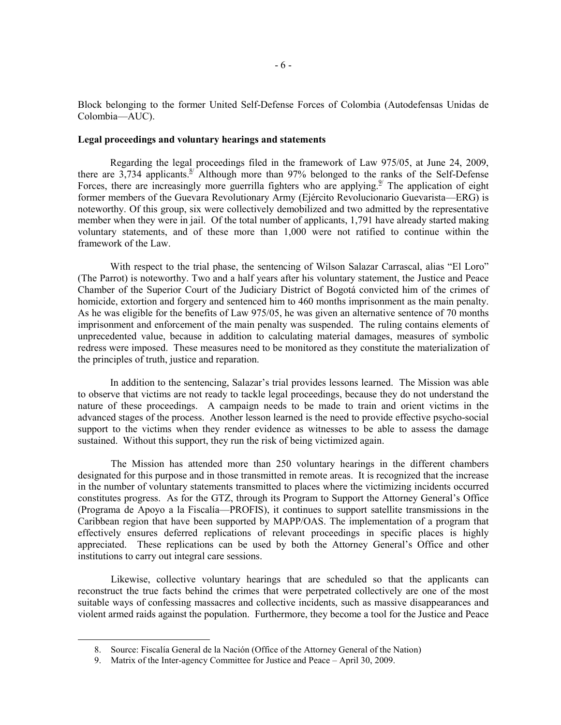Block belonging to the former United Self-Defense Forces of Colombia (Autodefensas Unidas de Colombia—AUC).

#### **Legal proceedings and voluntary hearings and statements**

Regarding the legal proceedings filed in the framework of Law 975/05, at June 24, 2009, there are 3,734 applicants.<sup>8/</sup> Although more than 97% belonged to the ranks of the Self-Defense Forces, there are increasingly more guerrilla fighters who are applying. $9/$  The application of eight former members of the Guevara Revolutionary Army (Ejército Revolucionario Guevarista—ERG) is noteworthy. Of this group, six were collectively demobilized and two admitted by the representative member when they were in jail. Of the total number of applicants, 1,791 have already started making voluntary statements, and of these more than 1,000 were not ratified to continue within the framework of the Law.

With respect to the trial phase, the sentencing of Wilson Salazar Carrascal, alias "El Loro" (The Parrot) is noteworthy. Two and a half years after his voluntary statement, the Justice and Peace Chamber of the Superior Court of the Judiciary District of Bogotá convicted him of the crimes of homicide, extortion and forgery and sentenced him to 460 months imprisonment as the main penalty. As he was eligible for the benefits of Law 975/05, he was given an alternative sentence of 70 months imprisonment and enforcement of the main penalty was suspended. The ruling contains elements of unprecedented value, because in addition to calculating material damages, measures of symbolic redress were imposed. These measures need to be monitored as they constitute the materialization of the principles of truth, justice and reparation.

In addition to the sentencing, Salazar's trial provides lessons learned. The Mission was able to observe that victims are not ready to tackle legal proceedings, because they do not understand the nature of these proceedings. A campaign needs to be made to train and orient victims in the advanced stages of the process. Another lesson learned is the need to provide effective psycho-social support to the victims when they render evidence as witnesses to be able to assess the damage sustained. Without this support, they run the risk of being victimized again.

 The Mission has attended more than 250 voluntary hearings in the different chambers designated for this purpose and in those transmitted in remote areas. It is recognized that the increase in the number of voluntary statements transmitted to places where the victimizing incidents occurred constitutes progress. As for the GTZ, through its Program to Support the Attorney General's Office (Programa de Apoyo a la Fiscalía—PROFIS), it continues to support satellite transmissions in the Caribbean region that have been supported by MAPP/OAS. The implementation of a program that effectively ensures deferred replications of relevant proceedings in specific places is highly appreciated. These replications can be used by both the Attorney General's Office and other institutions to carry out integral care sessions.

 Likewise, collective voluntary hearings that are scheduled so that the applicants can reconstruct the true facts behind the crimes that were perpetrated collectively are one of the most suitable ways of confessing massacres and collective incidents, such as massive disappearances and violent armed raids against the population. Furthermore, they become a tool for the Justice and Peace

<sup>8.</sup> Source: Fiscalía General de la Nación (Office of the Attorney General of the Nation)

<sup>9.</sup> Matrix of the Inter-agency Committee for Justice and Peace – April 30, 2009.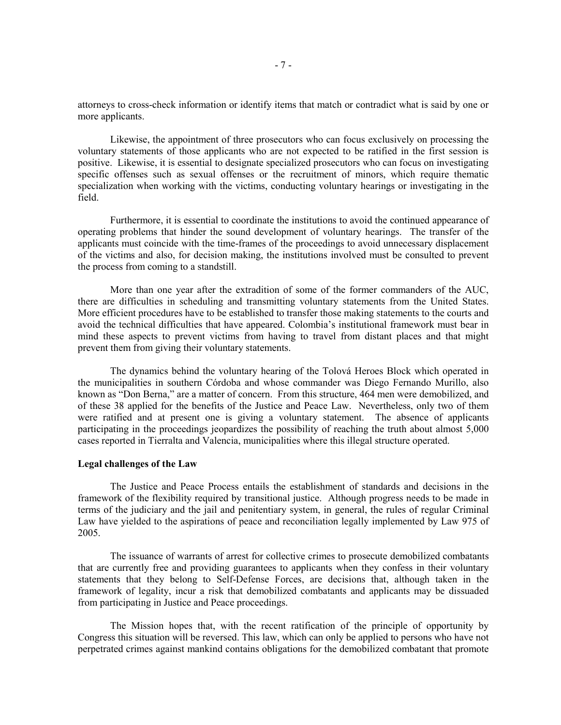attorneys to cross-check information or identify items that match or contradict what is said by one or more applicants.

Likewise, the appointment of three prosecutors who can focus exclusively on processing the voluntary statements of those applicants who are not expected to be ratified in the first session is positive. Likewise, it is essential to designate specialized prosecutors who can focus on investigating specific offenses such as sexual offenses or the recruitment of minors, which require thematic specialization when working with the victims, conducting voluntary hearings or investigating in the field.

Furthermore, it is essential to coordinate the institutions to avoid the continued appearance of operating problems that hinder the sound development of voluntary hearings. The transfer of the applicants must coincide with the time-frames of the proceedings to avoid unnecessary displacement of the victims and also, for decision making, the institutions involved must be consulted to prevent the process from coming to a standstill.

More than one year after the extradition of some of the former commanders of the AUC, there are difficulties in scheduling and transmitting voluntary statements from the United States. More efficient procedures have to be established to transfer those making statements to the courts and avoid the technical difficulties that have appeared. Colombia's institutional framework must bear in mind these aspects to prevent victims from having to travel from distant places and that might prevent them from giving their voluntary statements.

The dynamics behind the voluntary hearing of the Tolová Heroes Block which operated in the municipalities in southern Córdoba and whose commander was Diego Fernando Murillo, also known as "Don Berna," are a matter of concern. From this structure, 464 men were demobilized, and of these 38 applied for the benefits of the Justice and Peace Law. Nevertheless, only two of them were ratified and at present one is giving a voluntary statement. The absence of applicants participating in the proceedings jeopardizes the possibility of reaching the truth about almost 5,000 cases reported in Tierralta and Valencia, municipalities where this illegal structure operated.

#### **Legal challenges of the Law**

The Justice and Peace Process entails the establishment of standards and decisions in the framework of the flexibility required by transitional justice. Although progress needs to be made in terms of the judiciary and the jail and penitentiary system, in general, the rules of regular Criminal Law have yielded to the aspirations of peace and reconciliation legally implemented by Law 975 of 2005.

The issuance of warrants of arrest for collective crimes to prosecute demobilized combatants that are currently free and providing guarantees to applicants when they confess in their voluntary statements that they belong to Self-Defense Forces, are decisions that, although taken in the framework of legality, incur a risk that demobilized combatants and applicants may be dissuaded from participating in Justice and Peace proceedings.

The Mission hopes that, with the recent ratification of the principle of opportunity by Congress this situation will be reversed. This law, which can only be applied to persons who have not perpetrated crimes against mankind contains obligations for the demobilized combatant that promote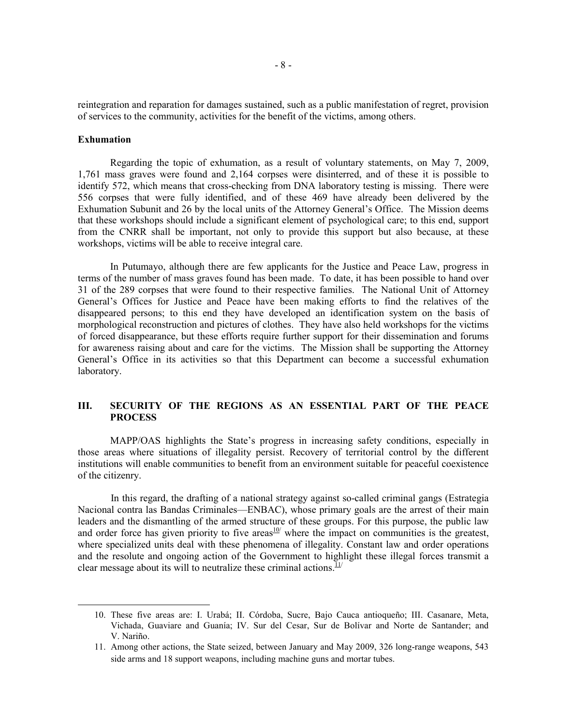reintegration and reparation for damages sustained, such as a public manifestation of regret, provision of services to the community, activities for the benefit of the victims, among others.

#### **Exhumation**

l

Regarding the topic of exhumation, as a result of voluntary statements, on May 7, 2009, 1,761 mass graves were found and 2,164 corpses were disinterred, and of these it is possible to identify 572, which means that cross-checking from DNA laboratory testing is missing. There were 556 corpses that were fully identified, and of these 469 have already been delivered by the Exhumation Subunit and 26 by the local units of the Attorney General's Office. The Mission deems that these workshops should include a significant element of psychological care; to this end, support from the CNRR shall be important, not only to provide this support but also because, at these workshops, victims will be able to receive integral care.

In Putumayo, although there are few applicants for the Justice and Peace Law, progress in terms of the number of mass graves found has been made. To date, it has been possible to hand over 31 of the 289 corpses that were found to their respective families. The National Unit of Attorney General's Offices for Justice and Peace have been making efforts to find the relatives of the disappeared persons; to this end they have developed an identification system on the basis of morphological reconstruction and pictures of clothes. They have also held workshops for the victims of forced disappearance, but these efforts require further support for their dissemination and forums for awareness raising about and care for the victims. The Mission shall be supporting the Attorney General's Office in its activities so that this Department can become a successful exhumation laboratory.

## **III. SECURITY OF THE REGIONS AS AN ESSENTIAL PART OF THE PEACE PROCESS**

MAPP/OAS highlights the State's progress in increasing safety conditions, especially in those areas where situations of illegality persist. Recovery of territorial control by the different institutions will enable communities to benefit from an environment suitable for peaceful coexistence of the citizenry.

 In this regard, the drafting of a national strategy against so-called criminal gangs (Estrategia Nacional contra las Bandas Criminales—ENBAC), whose primary goals are the arrest of their main leaders and the dismantling of the armed structure of these groups. For this purpose, the public law and order force has given priority to five areas $10$ <sup>to</sup> where the impact on communities is the greatest, where specialized units deal with these phenomena of illegality. Constant law and order operations and the resolute and ongoing action of the Government to highlight these illegal forces transmit a clear message about its will to neutralize these criminal actions. $11/1$ 

<sup>10.</sup> These five areas are: I. Urabá; II. Córdoba, Sucre, Bajo Cauca antioqueño; III. Casanare, Meta, Vichada, Guaviare and Guanía; IV. Sur del Cesar, Sur de Bolívar and Norte de Santander; and V. Nariño.

<sup>11.</sup> Among other actions, the State seized, between January and May 2009, 326 long-range weapons, 543 side arms and 18 support weapons, including machine guns and mortar tubes.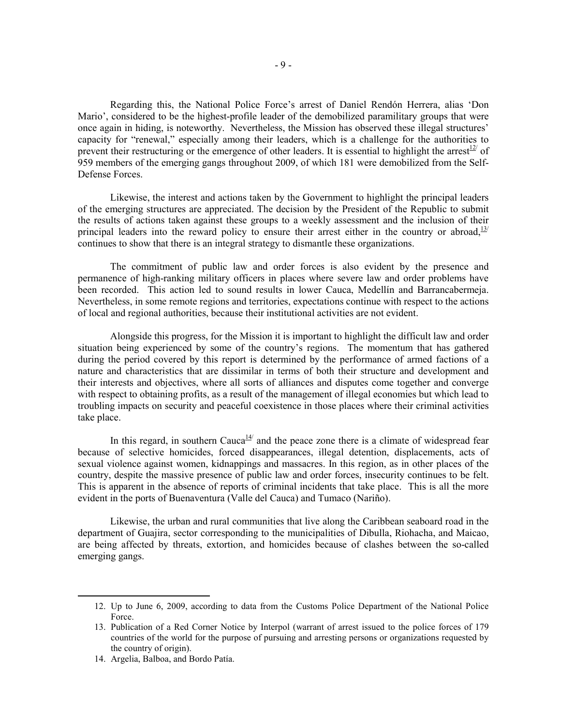Regarding this, the National Police Force's arrest of Daniel Rendón Herrera, alias 'Don Mario', considered to be the highest-profile leader of the demobilized paramilitary groups that were once again in hiding, is noteworthy. Nevertheless, the Mission has observed these illegal structures' capacity for "renewal," especially among their leaders, which is a challenge for the authorities to prevent their restructuring or the emergence of other leaders. It is essential to highlight the arrest<sup>12</sup> of 959 members of the emerging gangs throughout 2009, of which 181 were demobilized from the Self-Defense Forces.

Likewise, the interest and actions taken by the Government to highlight the principal leaders of the emerging structures are appreciated. The decision by the President of the Republic to submit the results of actions taken against these groups to a weekly assessment and the inclusion of their principal leaders into the reward policy to ensure their arrest either in the country or abroad,  $\frac{13}{2}$ continues to show that there is an integral strategy to dismantle these organizations.

The commitment of public law and order forces is also evident by the presence and permanence of high-ranking military officers in places where severe law and order problems have been recorded. This action led to sound results in lower Cauca, Medellín and Barrancabermeja. Nevertheless, in some remote regions and territories, expectations continue with respect to the actions of local and regional authorities, because their institutional activities are not evident.

Alongside this progress, for the Mission it is important to highlight the difficult law and order situation being experienced by some of the country's regions. The momentum that has gathered during the period covered by this report is determined by the performance of armed factions of a nature and characteristics that are dissimilar in terms of both their structure and development and their interests and objectives, where all sorts of alliances and disputes come together and converge with respect to obtaining profits, as a result of the management of illegal economies but which lead to troubling impacts on security and peaceful coexistence in those places where their criminal activities take place.

In this regard, in southern Cauca $\frac{14}{4}$  and the peace zone there is a climate of widespread fear because of selective homicides, forced disappearances, illegal detention, displacements, acts of sexual violence against women, kidnappings and massacres. In this region, as in other places of the country, despite the massive presence of public law and order forces, insecurity continues to be felt. This is apparent in the absence of reports of criminal incidents that take place. This is all the more evident in the ports of Buenaventura (Valle del Cauca) and Tumaco (Nariño).

Likewise, the urban and rural communities that live along the Caribbean seaboard road in the department of Guajira, sector corresponding to the municipalities of Dibulla, Riohacha, and Maicao, are being affected by threats, extortion, and homicides because of clashes between the so-called emerging gangs.

14. Argelia, Balboa, and Bordo Patía.

<sup>12.</sup> Up to June 6, 2009, according to data from the Customs Police Department of the National Police Force.

<sup>13.</sup> Publication of a Red Corner Notice by Interpol (warrant of arrest issued to the police forces of 179 countries of the world for the purpose of pursuing and arresting persons or organizations requested by the country of origin).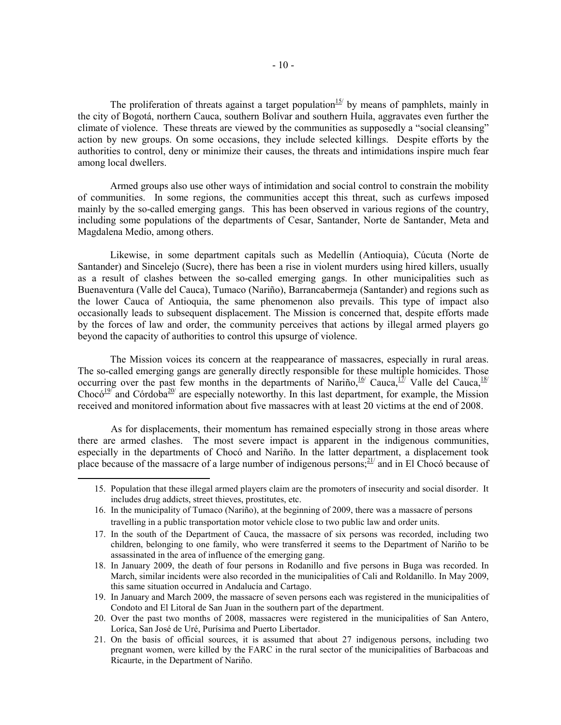The proliferation of threats against a target population<sup>15/</sup> by means of pamphlets, mainly in the city of Bogotá, northern Cauca, southern Bolívar and southern Huila, aggravates even further the climate of violence. These threats are viewed by the communities as supposedly a "social cleansing" action by new groups. On some occasions, they include selected killings. Despite efforts by the authorities to control, deny or minimize their causes, the threats and intimidations inspire much fear among local dwellers.

Armed groups also use other ways of intimidation and social control to constrain the mobility of communities. In some regions, the communities accept this threat, such as curfews imposed mainly by the so-called emerging gangs. This has been observed in various regions of the country, including some populations of the departments of Cesar, Santander, Norte de Santander, Meta and Magdalena Medio, among others.

Likewise, in some department capitals such as Medellín (Antioquia), Cúcuta (Norte de Santander) and Sincelejo (Sucre), there has been a rise in violent murders using hired killers, usually as a result of clashes between the so-called emerging gangs. In other municipalities such as Buenaventura (Valle del Cauca), Tumaco (Nariño), Barrancabermeja (Santander) and regions such as the lower Cauca of Antioquia, the same phenomenon also prevails. This type of impact also occasionally leads to subsequent displacement. The Mission is concerned that, despite efforts made by the forces of law and order, the community perceives that actions by illegal armed players go beyond the capacity of authorities to control this upsurge of violence.

The Mission voices its concern at the reappearance of massacres, especially in rural areas. The so-called emerging gangs are generally directly responsible for these multiple homicides. Those occurring over the past few months in the departments of Nariño, <sup>16/</sup> Cauca, <sup>17</sup>/ Valle del Cauca, <sup>18/</sup> Chocó<sup>19/</sup> and Córdoba<sup>20/</sup> are especially noteworthy. In this last department, for example, the Mission received and monitored information about five massacres with at least 20 victims at the end of 2008.

 As for displacements, their momentum has remained especially strong in those areas where there are armed clashes. The most severe impact is apparent in the indigenous communities, especially in the departments of Chocó and Nariño. In the latter department, a displacement took place because of the massacre of a large number of indigenous persons; $21/2$  and in El Chocó because of

<sup>15.</sup> Population that these illegal armed players claim are the promoters of insecurity and social disorder. It includes drug addicts, street thieves, prostitutes, etc.

<sup>16.</sup> In the municipality of Tumaco (Nariño), at the beginning of 2009, there was a massacre of persons travelling in a public transportation motor vehicle close to two public law and order units.

<sup>17.</sup> In the south of the Department of Cauca, the massacre of six persons was recorded, including two children, belonging to one family, who were transferred it seems to the Department of Nariño to be assassinated in the area of influence of the emerging gang.

<sup>18.</sup> In January 2009, the death of four persons in Rodanillo and five persons in Buga was recorded. In March, similar incidents were also recorded in the municipalities of Cali and Roldanillo. In May 2009, this same situation occurred in Andalucía and Cartago.

<sup>19.</sup> In January and March 2009, the massacre of seven persons each was registered in the municipalities of Condoto and El Litoral de San Juan in the southern part of the department.

<sup>20.</sup> Over the past two months of 2008, massacres were registered in the municipalities of San Antero, Loríca, San José de Uré, Purísima and Puerto Libertador.

<sup>21.</sup> On the basis of official sources, it is assumed that about 27 indigenous persons, including two pregnant women, were killed by the FARC in the rural sector of the municipalities of Barbacoas and Ricaurte, in the Department of Nariño.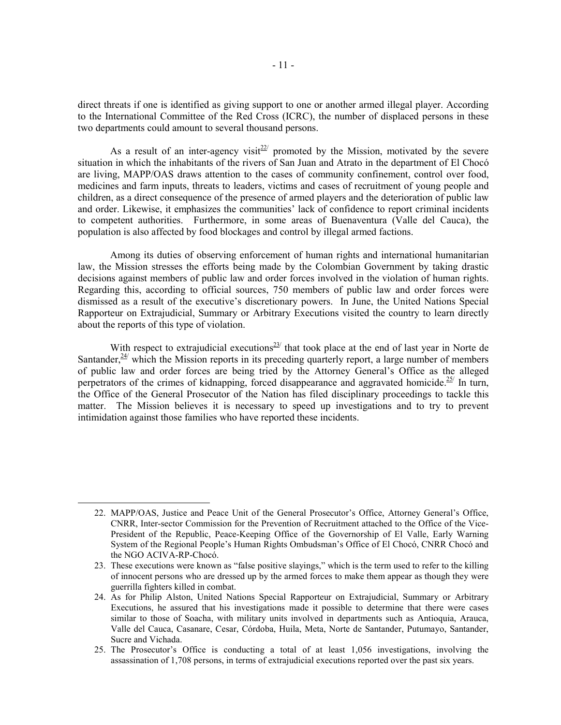direct threats if one is identified as giving support to one or another armed illegal player. According to the International Committee of the Red Cross (ICRC), the number of displaced persons in these two departments could amount to several thousand persons.

As a result of an inter-agency visit<sup>22</sup> promoted by the Mission, motivated by the severe situation in which the inhabitants of the rivers of San Juan and Atrato in the department of El Chocó are living, MAPP/OAS draws attention to the cases of community confinement, control over food, medicines and farm inputs, threats to leaders, victims and cases of recruitment of young people and children, as a direct consequence of the presence of armed players and the deterioration of public law and order. Likewise, it emphasizes the communities' lack of confidence to report criminal incidents to competent authorities. Furthermore, in some areas of Buenaventura (Valle del Cauca), the population is also affected by food blockages and control by illegal armed factions.

Among its duties of observing enforcement of human rights and international humanitarian law, the Mission stresses the efforts being made by the Colombian Government by taking drastic decisions against members of public law and order forces involved in the violation of human rights. Regarding this, according to official sources, 750 members of public law and order forces were dismissed as a result of the executive's discretionary powers. In June, the United Nations Special Rapporteur on Extrajudicial, Summary or Arbitrary Executions visited the country to learn directly about the reports of this type of violation.

With respect to extrajudicial executions<sup>23/</sup> that took place at the end of last year in Norte de Santander, $24$ <sup>/</sup> which the Mission reports in its preceding quarterly report, a large number of members of public law and order forces are being tried by the Attorney General's Office as the alleged perpetrators of the crimes of kidnapping, forced disappearance and aggravated homicide.<sup>25/</sup> In turn, the Office of the General Prosecutor of the Nation has filed disciplinary proceedings to tackle this matter. The Mission believes it is necessary to speed up investigations and to try to prevent intimidation against those families who have reported these incidents.

<sup>22.</sup> MAPP/OAS, Justice and Peace Unit of the General Prosecutor's Office, Attorney General's Office, CNRR, Inter-sector Commission for the Prevention of Recruitment attached to the Office of the Vice-President of the Republic, Peace-Keeping Office of the Governorship of El Valle, Early Warning System of the Regional People's Human Rights Ombudsman's Office of El Chocó, CNRR Chocó and the NGO ACIVA-RP-Chocó.

<sup>23.</sup> These executions were known as "false positive slayings," which is the term used to refer to the killing of innocent persons who are dressed up by the armed forces to make them appear as though they were guerrilla fighters killed in combat.

<sup>24.</sup> As for Philip Alston, United Nations Special Rapporteur on Extrajudicial, Summary or Arbitrary Executions, he assured that his investigations made it possible to determine that there were cases similar to those of Soacha, with military units involved in departments such as Antioquia, Arauca, Valle del Cauca, Casanare, Cesar, Córdoba, Huila, Meta, Norte de Santander, Putumayo, Santander, Sucre and Vichada.

<sup>25.</sup> The Prosecutor's Office is conducting a total of at least 1,056 investigations, involving the assassination of 1,708 persons, in terms of extrajudicial executions reported over the past six years.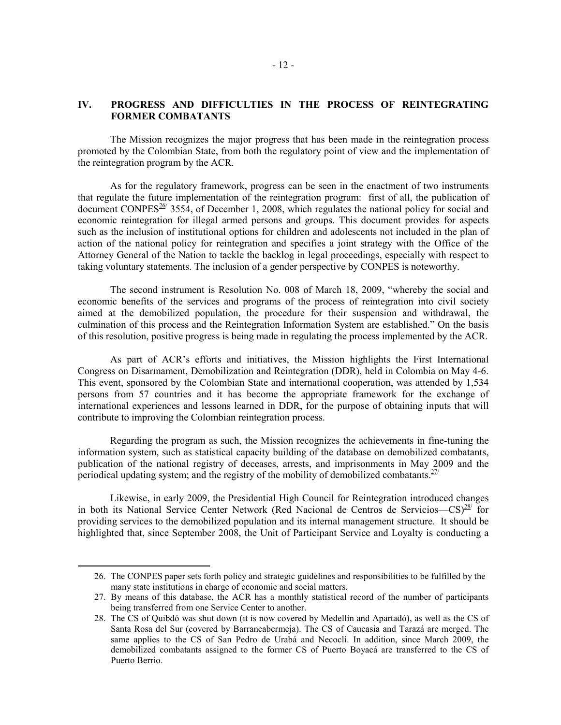## **IV. PROGRESS AND DIFFICULTIES IN THE PROCESS OF REINTEGRATING FORMER COMBATANTS**

The Mission recognizes the major progress that has been made in the reintegration process promoted by the Colombian State, from both the regulatory point of view and the implementation of the reintegration program by the ACR.

As for the regulatory framework, progress can be seen in the enactment of two instruments that regulate the future implementation of the reintegration program: first of all, the publication of document CONPES<sup>26/</sup> 3554, of December 1, 2008, which regulates the national policy for social and economic reintegration for illegal armed persons and groups. This document provides for aspects such as the inclusion of institutional options for children and adolescents not included in the plan of action of the national policy for reintegration and specifies a joint strategy with the Office of the Attorney General of the Nation to tackle the backlog in legal proceedings, especially with respect to taking voluntary statements. The inclusion of a gender perspective by CONPES is noteworthy.

The second instrument is Resolution No. 008 of March 18, 2009, "whereby the social and economic benefits of the services and programs of the process of reintegration into civil society aimed at the demobilized population, the procedure for their suspension and withdrawal, the culmination of this process and the Reintegration Information System are established." On the basis of this resolution, positive progress is being made in regulating the process implemented by the ACR.

As part of ACR's efforts and initiatives, the Mission highlights the First International Congress on Disarmament, Demobilization and Reintegration (DDR), held in Colombia on May 4-6. This event, sponsored by the Colombian State and international cooperation, was attended by 1,534 persons from 57 countries and it has become the appropriate framework for the exchange of international experiences and lessons learned in DDR, for the purpose of obtaining inputs that will contribute to improving the Colombian reintegration process.

Regarding the program as such, the Mission recognizes the achievements in fine-tuning the information system, such as statistical capacity building of the database on demobilized combatants, publication of the national registry of deceases, arrests, and imprisonments in May 2009 and the periodical updating system; and the registry of the mobility of demobilized combatants. $27/2$ 

Likewise, in early 2009, the Presidential High Council for Reintegration introduced changes in both its National Service Center Network (Red Nacional de Centros de Servicios— $CS^{28/7}$  for providing services to the demobilized population and its internal management structure. It should be highlighted that, since September 2008, the Unit of Participant Service and Loyalty is conducting a

<sup>26.</sup> The CONPES paper sets forth policy and strategic guidelines and responsibilities to be fulfilled by the many state institutions in charge of economic and social matters.

<sup>27.</sup> By means of this database, the ACR has a monthly statistical record of the number of participants being transferred from one Service Center to another.

<sup>28.</sup> The CS of Quibdó was shut down (it is now covered by Medellín and Apartadó), as well as the CS of Santa Rosa del Sur (covered by Barrancabermeja). The CS of Caucasia and Tarazá are merged. The same applies to the CS of San Pedro de Urabá and Necoclí. In addition, since March 2009, the demobilized combatants assigned to the former CS of Puerto Boyacá are transferred to the CS of Puerto Berrio.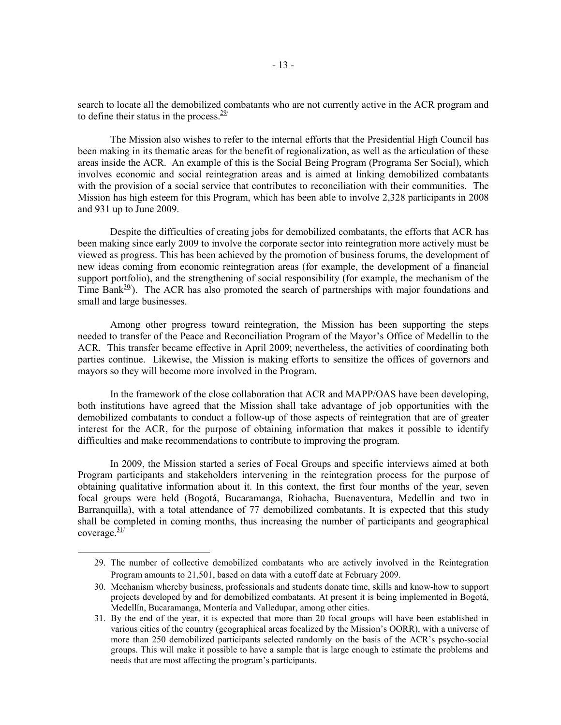search to locate all the demobilized combatants who are not currently active in the ACR program and to define their status in the process. $29/$ 

The Mission also wishes to refer to the internal efforts that the Presidential High Council has been making in its thematic areas for the benefit of regionalization, as well as the articulation of these areas inside the ACR. An example of this is the Social Being Program (Programa Ser Social), which involves economic and social reintegration areas and is aimed at linking demobilized combatants with the provision of a social service that contributes to reconciliation with their communities. The Mission has high esteem for this Program, which has been able to involve 2,328 participants in 2008 and 931 up to June 2009.

Despite the difficulties of creating jobs for demobilized combatants, the efforts that ACR has been making since early 2009 to involve the corporate sector into reintegration more actively must be viewed as progress. This has been achieved by the promotion of business forums, the development of new ideas coming from economic reintegration areas (for example, the development of a financial support portfolio), and the strengthening of social responsibility (for example, the mechanism of the Time Bank<sup>30</sup>). The ACR has also promoted the search of partnerships with major foundations and small and large businesses.

Among other progress toward reintegration, the Mission has been supporting the steps needed to transfer of the Peace and Reconciliation Program of the Mayor's Office of Medellín to the ACR. This transfer became effective in April 2009; nevertheless, the activities of coordinating both parties continue. Likewise, the Mission is making efforts to sensitize the offices of governors and mayors so they will become more involved in the Program.

In the framework of the close collaboration that ACR and MAPP/OAS have been developing, both institutions have agreed that the Mission shall take advantage of job opportunities with the demobilized combatants to conduct a follow-up of those aspects of reintegration that are of greater interest for the ACR, for the purpose of obtaining information that makes it possible to identify difficulties and make recommendations to contribute to improving the program.

In 2009, the Mission started a series of Focal Groups and specific interviews aimed at both Program participants and stakeholders intervening in the reintegration process for the purpose of obtaining qualitative information about it. In this context, the first four months of the year, seven focal groups were held (Bogotá, Bucaramanga, Riohacha, Buenaventura, Medellín and two in Barranquilla), with a total attendance of 77 demobilized combatants. It is expected that this study shall be completed in coming months, thus increasing the number of participants and geographical coverage. $\frac{31}{2}$ 

<sup>29.</sup> The number of collective demobilized combatants who are actively involved in the Reintegration Program amounts to 21,501, based on data with a cutoff date at February 2009.

<sup>30.</sup> Mechanism whereby business, professionals and students donate time, skills and know-how to support projects developed by and for demobilized combatants. At present it is being implemented in Bogotá, Medellín, Bucaramanga, Montería and Valledupar, among other cities.

<sup>31.</sup> By the end of the year, it is expected that more than 20 focal groups will have been established in various cities of the country (geographical areas focalized by the Mission's OORR), with a universe of more than 250 demobilized participants selected randomly on the basis of the ACR's psycho-social groups. This will make it possible to have a sample that is large enough to estimate the problems and needs that are most affecting the program's participants.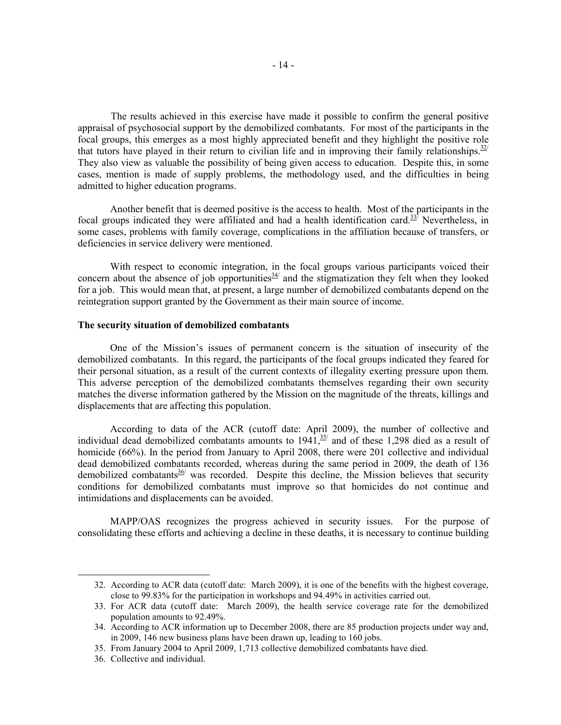The results achieved in this exercise have made it possible to confirm the general positive appraisal of psychosocial support by the demobilized combatants. For most of the participants in the focal groups, this emerges as a most highly appreciated benefit and they highlight the positive role that tutors have played in their return to civilian life and in improving their family relationships.  $32$ They also view as valuable the possibility of being given access to education. Despite this, in some cases, mention is made of supply problems, the methodology used, and the difficulties in being admitted to higher education programs.

Another benefit that is deemed positive is the access to health. Most of the participants in the focal groups indicated they were affiliated and had a health identification card. $33$ <sup>7</sup> Nevertheless, in some cases, problems with family coverage, complications in the affiliation because of transfers, or deficiencies in service delivery were mentioned.

With respect to economic integration, in the focal groups various participants voiced their concern about the absence of job opportunities  $34/$  and the stigmatization they felt when they looked for a job. This would mean that, at present, a large number of demobilized combatants depend on the reintegration support granted by the Government as their main source of income.

#### **The security situation of demobilized combatants**

One of the Mission's issues of permanent concern is the situation of insecurity of the demobilized combatants. In this regard, the participants of the focal groups indicated they feared for their personal situation, as a result of the current contexts of illegality exerting pressure upon them. This adverse perception of the demobilized combatants themselves regarding their own security matches the diverse information gathered by the Mission on the magnitude of the threats, killings and displacements that are affecting this population.

According to data of the ACR (cutoff date: April 2009), the number of collective and individual dead demobilized combatants amounts to  $1941$ ,  $\frac{35}{1}$  and of these 1,298 died as a result of homicide (66%). In the period from January to April 2008, there were 201 collective and individual dead demobilized combatants recorded, whereas during the same period in 2009, the death of 136 demobilized combatants  $36/8$  was recorded. Despite this decline, the Mission believes that security conditions for demobilized combatants must improve so that homicides do not continue and intimidations and displacements can be avoided.

MAPP/OAS recognizes the progress achieved in security issues. For the purpose of consolidating these efforts and achieving a decline in these deaths, it is necessary to continue building

<sup>32.</sup> According to ACR data (cutoff date: March 2009), it is one of the benefits with the highest coverage, close to 99.83% for the participation in workshops and 94.49% in activities carried out.

<sup>33.</sup> For ACR data (cutoff date: March 2009), the health service coverage rate for the demobilized population amounts to 92.49%.

<sup>34.</sup> According to ACR information up to December 2008, there are 85 production projects under way and, in 2009, 146 new business plans have been drawn up, leading to 160 jobs.

<sup>35.</sup> From January 2004 to April 2009, 1,713 collective demobilized combatants have died.

<sup>36.</sup> Collective and individual.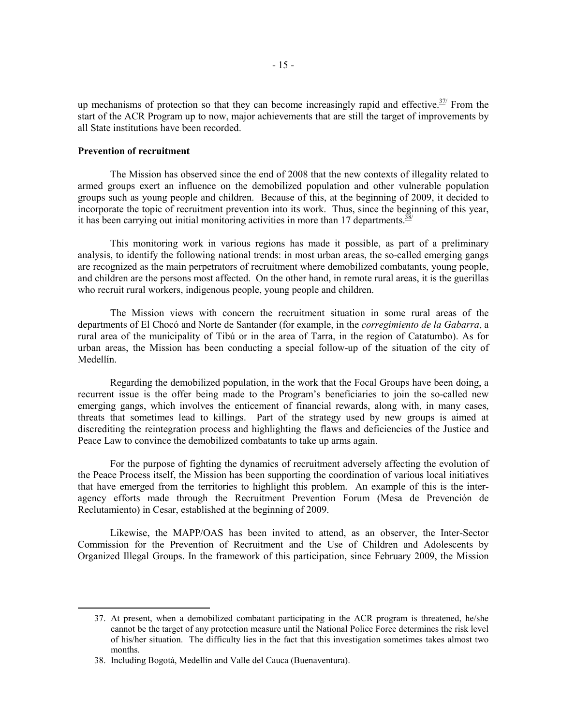up mechanisms of protection so that they can become increasingly rapid and effective.<sup> $37/$ </sup> From the start of the ACR Program up to now, major achievements that are still the target of improvements by all State institutions have been recorded.

### **Prevention of recruitment**

 $\overline{a}$ 

The Mission has observed since the end of 2008 that the new contexts of illegality related to armed groups exert an influence on the demobilized population and other vulnerable population groups such as young people and children. Because of this, at the beginning of 2009, it decided to incorporate the topic of recruitment prevention into its work. Thus, since the beginning of this year, it has been carrying out initial monitoring activities in more than 17 departments. $\frac{38}{3}$ 

This monitoring work in various regions has made it possible, as part of a preliminary analysis, to identify the following national trends: in most urban areas, the so-called emerging gangs are recognized as the main perpetrators of recruitment where demobilized combatants, young people, and children are the persons most affected. On the other hand, in remote rural areas, it is the guerillas who recruit rural workers, indigenous people, young people and children.

The Mission views with concern the recruitment situation in some rural areas of the departments of El Chocó and Norte de Santander (for example, in the *corregimiento de la Gabarra*, a rural area of the municipality of Tibú or in the area of Tarra, in the region of Catatumbo). As for urban areas, the Mission has been conducting a special follow-up of the situation of the city of Medellín.

Regarding the demobilized population, in the work that the Focal Groups have been doing, a recurrent issue is the offer being made to the Program's beneficiaries to join the so-called new emerging gangs, which involves the enticement of financial rewards, along with, in many cases, threats that sometimes lead to killings. Part of the strategy used by new groups is aimed at discrediting the reintegration process and highlighting the flaws and deficiencies of the Justice and Peace Law to convince the demobilized combatants to take up arms again.

For the purpose of fighting the dynamics of recruitment adversely affecting the evolution of the Peace Process itself, the Mission has been supporting the coordination of various local initiatives that have emerged from the territories to highlight this problem. An example of this is the interagency efforts made through the Recruitment Prevention Forum (Mesa de Prevención de Reclutamiento) in Cesar, established at the beginning of 2009.

Likewise, the MAPP/OAS has been invited to attend, as an observer, the Inter-Sector Commission for the Prevention of Recruitment and the Use of Children and Adolescents by Organized Illegal Groups. In the framework of this participation, since February 2009, the Mission

<sup>37.</sup> At present, when a demobilized combatant participating in the ACR program is threatened, he/she cannot be the target of any protection measure until the National Police Force determines the risk level of his/her situation. The difficulty lies in the fact that this investigation sometimes takes almost two months.

<sup>38.</sup> Including Bogotá, Medellín and Valle del Cauca (Buenaventura).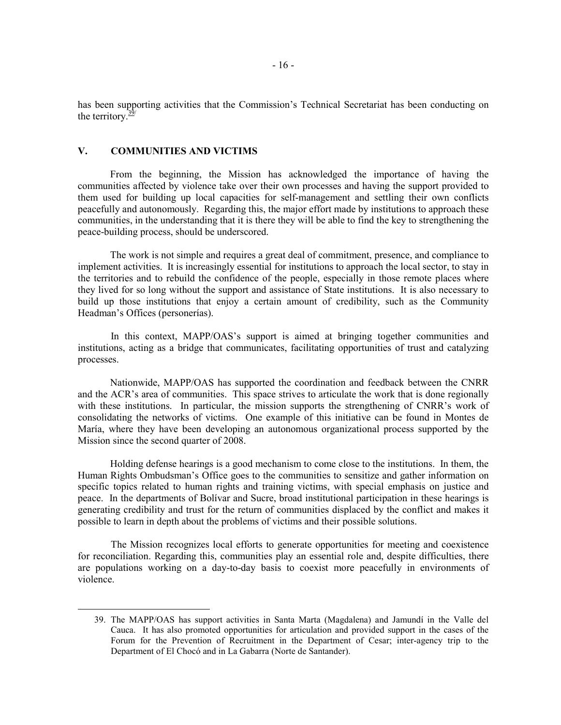has been supporting activities that the Commission's Technical Secretariat has been conducting on the territory. $\frac{39}{2}$ 

## **V. COMMUNITIES AND VICTIMS**

 $\overline{a}$ 

From the beginning, the Mission has acknowledged the importance of having the communities affected by violence take over their own processes and having the support provided to them used for building up local capacities for self-management and settling their own conflicts peacefully and autonomously. Regarding this, the major effort made by institutions to approach these communities, in the understanding that it is there they will be able to find the key to strengthening the peace-building process, should be underscored.

The work is not simple and requires a great deal of commitment, presence, and compliance to implement activities. It is increasingly essential for institutions to approach the local sector, to stay in the territories and to rebuild the confidence of the people, especially in those remote places where they lived for so long without the support and assistance of State institutions. It is also necessary to build up those institutions that enjoy a certain amount of credibility, such as the Community Headman's Offices (personerías).

 In this context, MAPP/OAS's support is aimed at bringing together communities and institutions, acting as a bridge that communicates, facilitating opportunities of trust and catalyzing processes.

Nationwide, MAPP/OAS has supported the coordination and feedback between the CNRR and the ACR's area of communities. This space strives to articulate the work that is done regionally with these institutions. In particular, the mission supports the strengthening of CNRR's work of consolidating the networks of victims. One example of this initiative can be found in Montes de María, where they have been developing an autonomous organizational process supported by the Mission since the second quarter of 2008.

Holding defense hearings is a good mechanism to come close to the institutions. In them, the Human Rights Ombudsman's Office goes to the communities to sensitize and gather information on specific topics related to human rights and training victims, with special emphasis on justice and peace. In the departments of Bolívar and Sucre, broad institutional participation in these hearings is generating credibility and trust for the return of communities displaced by the conflict and makes it possible to learn in depth about the problems of victims and their possible solutions.

 The Mission recognizes local efforts to generate opportunities for meeting and coexistence for reconciliation. Regarding this, communities play an essential role and, despite difficulties, there are populations working on a day-to-day basis to coexist more peacefully in environments of violence.

<sup>39.</sup> The MAPP/OAS has support activities in Santa Marta (Magdalena) and Jamundí in the Valle del Cauca. It has also promoted opportunities for articulation and provided support in the cases of the Forum for the Prevention of Recruitment in the Department of Cesar; inter-agency trip to the Department of El Chocó and in La Gabarra (Norte de Santander).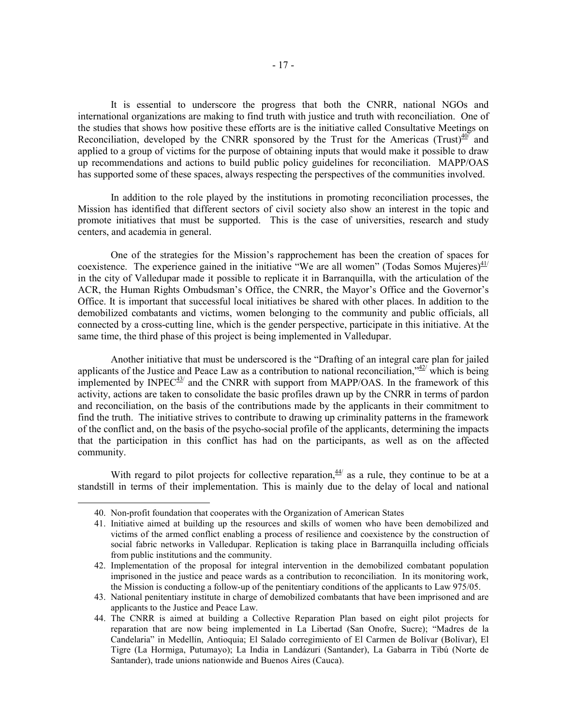It is essential to underscore the progress that both the CNRR, national NGOs and international organizations are making to find truth with justice and truth with reconciliation. One of the studies that shows how positive these efforts are is the initiative called Consultative Meetings on Reconciliation, developed by the CNRR sponsored by the Trust for the Americas (Trust) $40^{\sqrt{10}}$  and applied to a group of victims for the purpose of obtaining inputs that would make it possible to draw up recommendations and actions to build public policy guidelines for reconciliation. MAPP/OAS has supported some of these spaces, always respecting the perspectives of the communities involved.

 In addition to the role played by the institutions in promoting reconciliation processes, the Mission has identified that different sectors of civil society also show an interest in the topic and promote initiatives that must be supported. This is the case of universities, research and study centers, and academia in general.

 One of the strategies for the Mission's rapprochement has been the creation of spaces for coexistence. The experience gained in the initiative "We are all women" (Todas Somos Mujeres) $\frac{41}{1}$ in the city of Valledupar made it possible to replicate it in Barranquilla, with the articulation of the ACR, the Human Rights Ombudsman's Office, the CNRR, the Mayor's Office and the Governor's Office. It is important that successful local initiatives be shared with other places. In addition to the demobilized combatants and victims, women belonging to the community and public officials, all connected by a cross-cutting line, which is the gender perspective, participate in this initiative. At the same time, the third phase of this project is being implemented in Valledupar.

 Another initiative that must be underscored is the "Drafting of an integral care plan for jailed applicants of the Justice and Peace Law as a contribution to national reconciliation," $42$ <sup>'</sup> which is being implemented by  $INPEC^{43/2}$  and the CNRR with support from MAPP/OAS. In the framework of this activity, actions are taken to consolidate the basic profiles drawn up by the CNRR in terms of pardon and reconciliation, on the basis of the contributions made by the applicants in their commitment to find the truth. The initiative strives to contribute to drawing up criminality patterns in the framework of the conflict and, on the basis of the psycho-social profile of the applicants, determining the impacts that the participation in this conflict has had on the participants, as well as on the affected community.

With regard to pilot projects for collective reparation,  $44/4$  as a rule, they continue to be at a standstill in terms of their implementation. This is mainly due to the delay of local and national

<sup>40.</sup> Non-profit foundation that cooperates with the Organization of American States

<sup>41.</sup> Initiative aimed at building up the resources and skills of women who have been demobilized and victims of the armed conflict enabling a process of resilience and coexistence by the construction of social fabric networks in Valledupar. Replication is taking place in Barranquilla including officials from public institutions and the community.

<sup>42.</sup> Implementation of the proposal for integral intervention in the demobilized combatant population imprisoned in the justice and peace wards as a contribution to reconciliation. In its monitoring work, the Mission is conducting a follow-up of the penitentiary conditions of the applicants to Law 975/05.

<sup>43.</sup> National penitentiary institute in charge of demobilized combatants that have been imprisoned and are applicants to the Justice and Peace Law.

<sup>44.</sup> The CNRR is aimed at building a Collective Reparation Plan based on eight pilot projects for reparation that are now being implemented in La Libertad (San Onofre, Sucre); "Madres de la Candelaria" in Medellín, Antioquia; El Salado corregimiento of El Carmen de Bolívar (Bolívar), El Tigre (La Hormiga, Putumayo); La India in Landázuri (Santander), La Gabarra in Tibú (Norte de Santander), trade unions nationwide and Buenos Aires (Cauca).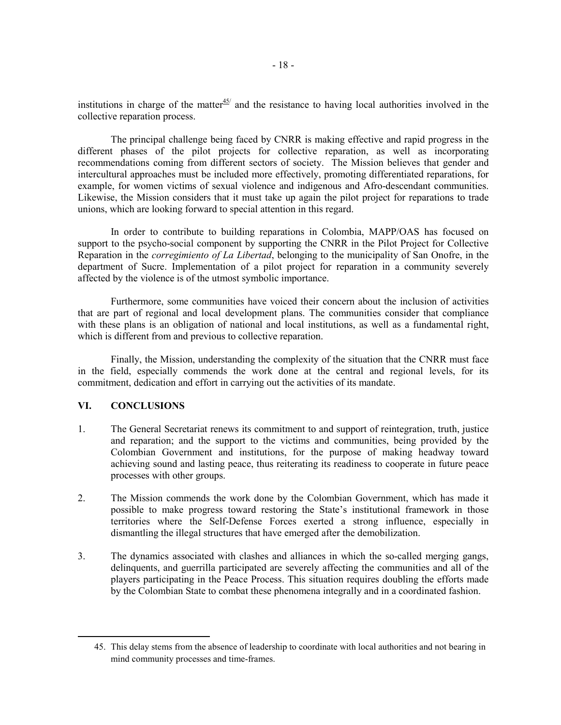institutions in charge of the matter $45/$  and the resistance to having local authorities involved in the collective reparation process.

 The principal challenge being faced by CNRR is making effective and rapid progress in the different phases of the pilot projects for collective reparation, as well as incorporating recommendations coming from different sectors of society. The Mission believes that gender and intercultural approaches must be included more effectively, promoting differentiated reparations, for example, for women victims of sexual violence and indigenous and Afro-descendant communities. Likewise, the Mission considers that it must take up again the pilot project for reparations to trade unions, which are looking forward to special attention in this regard.

 In order to contribute to building reparations in Colombia, MAPP/OAS has focused on support to the psycho-social component by supporting the CNRR in the Pilot Project for Collective Reparation in the *corregimiento of La Libertad*, belonging to the municipality of San Onofre, in the department of Sucre. Implementation of a pilot project for reparation in a community severely affected by the violence is of the utmost symbolic importance.

 Furthermore, some communities have voiced their concern about the inclusion of activities that are part of regional and local development plans. The communities consider that compliance with these plans is an obligation of national and local institutions, as well as a fundamental right, which is different from and previous to collective reparation.

 Finally, the Mission, understanding the complexity of the situation that the CNRR must face in the field, especially commends the work done at the central and regional levels, for its commitment, dedication and effort in carrying out the activities of its mandate.

## **VI. CONCLUSIONS**

- 1. The General Secretariat renews its commitment to and support of reintegration, truth, justice and reparation; and the support to the victims and communities, being provided by the Colombian Government and institutions, for the purpose of making headway toward achieving sound and lasting peace, thus reiterating its readiness to cooperate in future peace processes with other groups.
- 2. The Mission commends the work done by the Colombian Government, which has made it possible to make progress toward restoring the State's institutional framework in those territories where the Self-Defense Forces exerted a strong influence, especially in dismantling the illegal structures that have emerged after the demobilization.
- 3. The dynamics associated with clashes and alliances in which the so-called merging gangs, delinquents, and guerrilla participated are severely affecting the communities and all of the players participating in the Peace Process. This situation requires doubling the efforts made by the Colombian State to combat these phenomena integrally and in a coordinated fashion.

<sup>45.</sup> This delay stems from the absence of leadership to coordinate with local authorities and not bearing in mind community processes and time-frames.